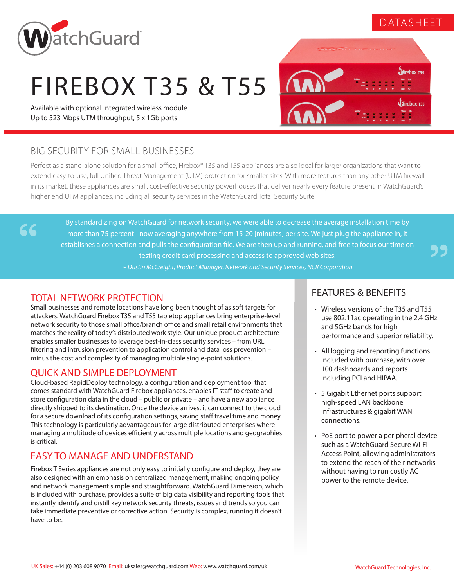# DATASHEET

 $\mathbf{I}$  direbox  $\mathsf{r}$ <sub>55</sub>

**Direbox 135** 



# FIREBOX T35 & T55

Available with optional integrated wireless module Up to 523 Mbps UTM throughput, 5 x 1Gb ports

## BIG SECURITY FOR SMALL BUSINESSES

Perfect as a stand-alone solution for a small office, Firebox® T35 and T55 appliances are also ideal for larger organizations that want to extend easy-to-use, full Unified Threat Management (UTM) protection for smaller sites. With more features than any other UTM firewall in its market, these appliances are small, cost-effective security powerhouses that deliver nearly every feature present in WatchGuard's higher end UTM appliances, including all security services in the WatchGuard Total Security Suite.

By standardizing on WatchGuard for network security, we were able to decrease the average installation time by more than 75 percent - now averaging anywhere from 15-20 [minutes] per site. We just plug the appliance in, it establishes a connection and pulls the configuration file. We are then up and running, and free to focus our time on testing credit card processing and access to approved web sites.

*~ Dustin McCreight, Product Manager, Network and Security Services, NCR Corporation*

## TOTAL NETWORK PROTECTION

 $66$ 

Small businesses and remote locations have long been thought of as soft targets for attackers. WatchGuard Firebox T35 and T55 tabletop appliances bring enterprise-level network security to those small office/branch office and small retail environments that matches the reality of today's distributed work style. Our unique product architecture enables smaller businesses to leverage best-in-class security services – from URL filtering and intrusion prevention to application control and data loss prevention – minus the cost and complexity of managing multiple single-point solutions.

#### QUICK AND SIMPLE DEPLOYMENT

Cloud-based RapidDeploy technology, a configuration and deployment tool that comes standard with WatchGuard Firebox appliances, enables IT staff to create and store configuration data in the cloud – public or private – and have a new appliance directly shipped to its destination. Once the device arrives, it can connect to the cloud for a secure download of its configuration settings, saving staff travel time and money. This technology is particularly advantageous for large distributed enterprises where managing a multitude of devices efficiently across multiple locations and geographies is critical.

## EASY TO MANAGE AND UNDERSTAND

Firebox T Series appliances are not only easy to initially configure and deploy, they are also designed with an emphasis on centralized management, making ongoing policy and network management simple and straightforward. WatchGuard Dimension, which is included with purchase, provides a suite of big data visibility and reporting tools that instantly identify and distill key network security threats, issues and trends so you can take immediate preventive or corrective action. Security is complex, running it doesn't have to be.

#### FEATURES & BENEFITS

- Wireless versions of the T35 and T55 use 802.11ac operating in the 2.4 GHz and 5GHz bands for high performance and superior reliability.
- All logging and reporting functions included with purchase, with over 100 dashboards and reports including PCI and HIPAA.
- 5 Gigabit Ethernet ports support high-speed LAN backbone infrastructures & gigabit WAN connections.
- PoE port to power a peripheral device such as a WatchGuard Secure Wi-Fi Access Point, allowing administrators to extend the reach of their networks without having to run costly AC power to the remote device.